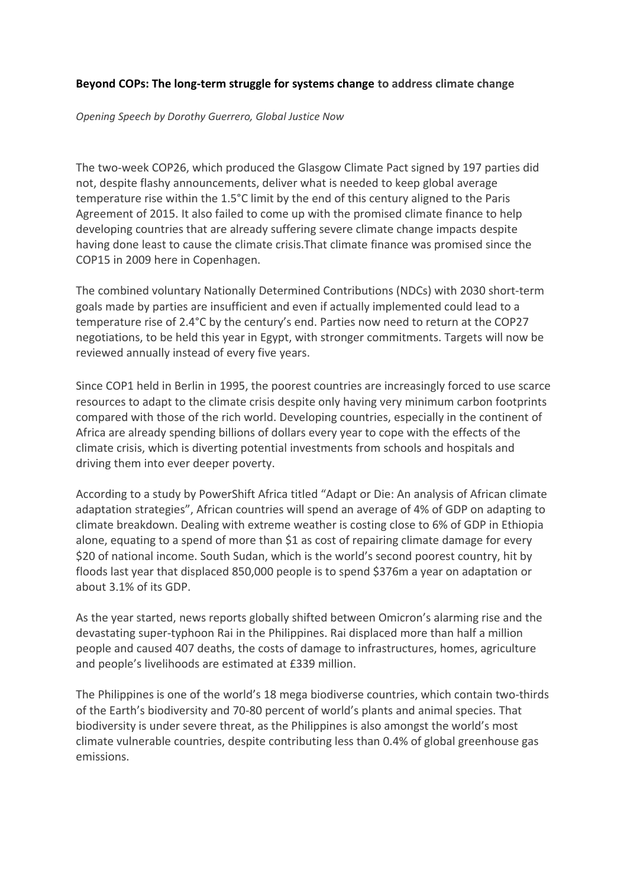### **Beyond COPs: The long-term struggle for systems change to address climate change**

*Opening Speech by Dorothy Guerrero, Global Justice Now*

The two-week COP26, which produced the Glasgow Climate Pact signed by 197 parties did not, despite flashy announcements, deliver what is needed to keep global average temperature rise within the 1.5°C limit by the end of this century aligned to the Paris Agreement of 2015. It also failed to come up with the promised climate finance to help developing countries that are already suffering severe climate change impacts despite having done least to cause the climate crisis.That climate finance was promised since the COP15 in 2009 here in Copenhagen.

The combined voluntary Nationally Determined Contributions (NDCs) with 2030 short-term goals made by parties are insufficient and even if actually implemented could lead to a temperature rise of 2.4°C by the century's end. Parties now need to return at the COP27 negotiations, to be held this year in Egypt, with stronger commitments. Targets will now be reviewed annually instead of every five years.

Since COP1 held in Berlin in 1995, the poorest countries are increasingly forced to use scarce resources to adapt to the climate crisis despite only having very minimum carbon footprints compared with those of the rich world. Developing countries, especially in the continent of Africa are already spending billions of dollars every year to cope with the effects of the climate crisis, which is diverting potential investments from schools and hospitals and driving them into ever deeper poverty.

According to a study by PowerShift Africa titled "Adapt or Die: An analysis of African climate adaptation strategies", African countries will spend an average of 4% of GDP on adapting to climate breakdown. Dealing with extreme weather is costing close to 6% of GDP in Ethiopia alone, equating to a spend of more than \$1 as cost of repairing climate damage for every \$20 of national income. South Sudan, which is the world's second poorest country, hit by floods last year that displaced 850,000 people is to spend \$376m a year on adaptation or about 3.1% of its GDP.

As the year started, news reports globally shifted between Omicron's alarming rise and the devastating super-typhoon Rai in the Philippines. Rai displaced more than half a million people and caused 407 deaths, the costs of damage to infrastructures, homes, agriculture and people's livelihoods are estimated at £339 million.

The Philippines is one of the world's 18 mega biodiverse countries, which contain two-thirds of the Earth's biodiversity and 70-80 percent of world's plants and animal species. That biodiversity is under severe threat, as the Philippines is also amongst the world's most climate vulnerable countries, despite contributing less than 0.4% of global greenhouse gas emissions.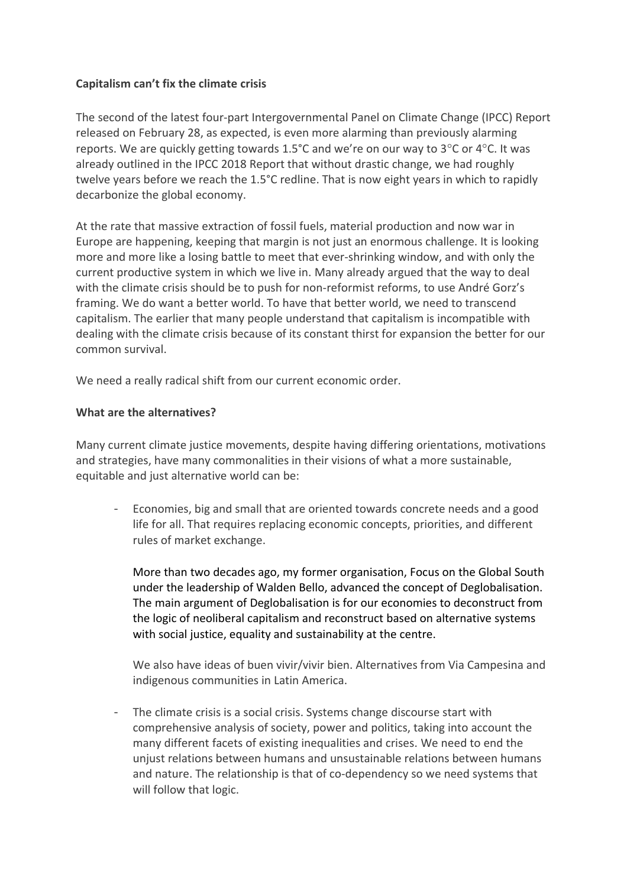# **Capitalism can't fix the climate crisis**

The second of the latest four-part Intergovernmental Panel on Climate Change (IPCC) Report released on February 28, as expected, is even more alarming than previously alarming reports. We are quickly getting towards 1.5°C and we're on our way to 3°C or 4°C. It was already outlined in the IPCC 2018 Report that without drastic change, we had roughly twelve years before we reach the 1.5°C redline. That is now eight years in which to rapidly decarbonize the global economy.

At the rate that massive extraction of fossil fuels, material production and now war in Europe are happening, keeping that margin is not just an enormous challenge. It is looking more and more like a losing battle to meet that ever-shrinking window, and with only the current productive system in which we live in. Many already argued that the way to deal with the climate crisis should be to push for non-reformist reforms, to use André Gorz's framing. We do want a better world. To have that better world, we need to transcend capitalism. The earlier that many people understand that capitalism is incompatible with dealing with the climate crisis because of its constant thirst for expansion the better for our common survival.

We need a really radical shift from our current economic order.

# **What are the alternatives?**

Many current climate justice movements, despite having differing orientations, motivations and strategies, have many commonalities in their visions of what a more sustainable, equitable and just alternative world can be:

- Economies, big and small that are oriented towards concrete needs and a good life for all. That requires replacing economic concepts, priorities, and different rules of market exchange.

More than two decades ago, my former organisation, Focus on the Global South under the leadership of Walden Bello, advanced the concept of Deglobalisation. The main argument of Deglobalisation is for our economies to deconstruct from the logic of neoliberal capitalism and reconstruct based on alternative systems with social justice, equality and sustainability at the centre.

We also have ideas of buen vivir/vivir bien. Alternatives from Via Campesina and indigenous communities in Latin America.

The climate crisis is a social crisis. Systems change discourse start with comprehensive analysis of society, power and politics, taking into account the many different facets of existing inequalities and crises. We need to end the unjust relations between humans and unsustainable relations between humans and nature. The relationship is that of co-dependency so we need systems that will follow that logic.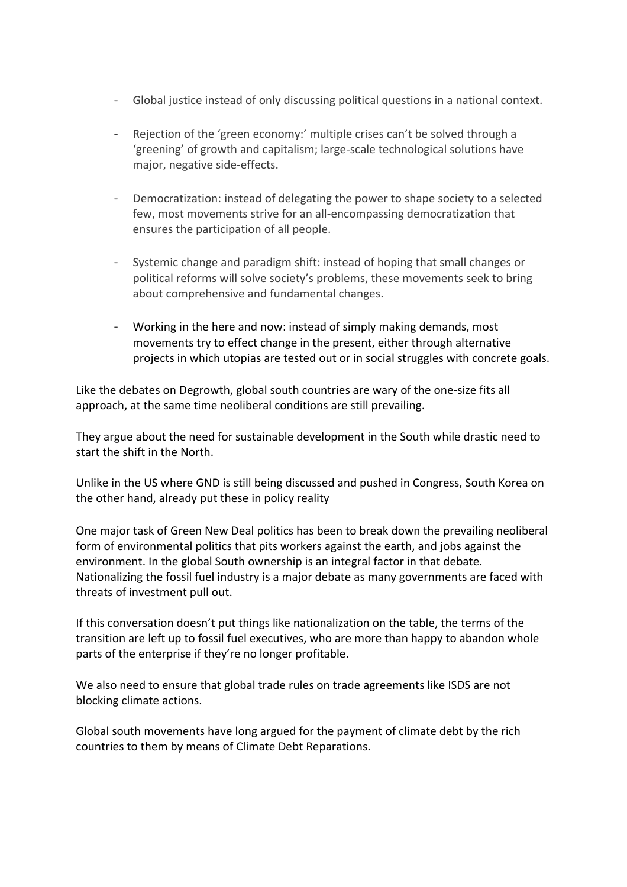- Global justice instead of only discussing political questions in a national context.
- Rejection of the 'green economy:' multiple crises can't be solved through a 'greening' of growth and capitalism; large-scale technological solutions have major, negative side-effects.
- Democratization: instead of delegating the power to shape society to a selected few, most movements strive for an all-encompassing democratization that ensures the participation of all people.
- Systemic change and paradigm shift: instead of hoping that small changes or political reforms will solve society's problems, these movements seek to bring about comprehensive and fundamental changes.
- Working in the here and now: instead of simply making demands, most movements try to effect change in the present, either through alternative projects in which utopias are tested out or in social struggles with concrete goals.

Like the debates on Degrowth, global south countries are wary of the one-size fits all approach, at the same time neoliberal conditions are still prevailing.

They argue about the need for sustainable development in the South while drastic need to start the shift in the North.

Unlike in the US where GND is still being discussed and pushed in Congress, South Korea on the other hand, already put these in policy reality

One major task of Green New Deal politics has been to break down the prevailing neoliberal form of environmental politics that pits workers against the earth, and jobs against the environment. In the global South ownership is an integral factor in that debate. Nationalizing the fossil fuel industry is a major debate as many governments are faced with threats of investment pull out.

If this conversation doesn't put things like nationalization on the table, the terms of the transition are left up to fossil fuel executives, who are more than happy to abandon whole parts of the enterprise if they're no longer profitable.

We also need to ensure that global trade rules on trade agreements like ISDS are not blocking climate actions.

Global south movements have long argued for the payment of climate debt by the rich countries to them by means of Climate Debt Reparations.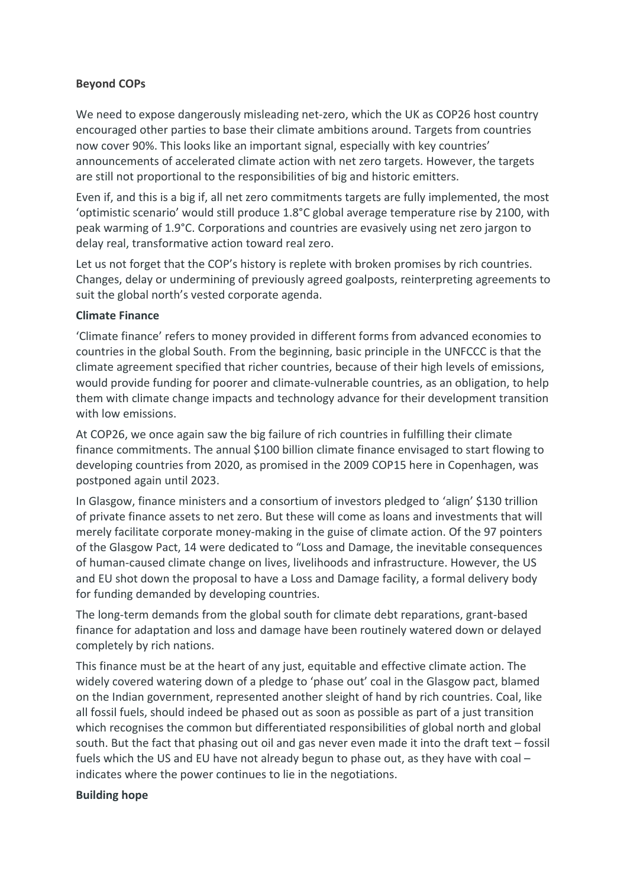# **Beyond COPs**

We need to expose dangerously misleading net-zero, which the UK as COP26 host country encouraged other parties to base their climate ambitions around. Targets from countries now cover 90%. This looks like an important signal, especially with key countries' announcements of accelerated climate action with net zero targets. However, the targets are still not proportional to the responsibilities of big and historic emitters.

Even if, and this is a big if, all net zero commitments targets are fully implemented, the most 'optimistic scenario' would still produce 1.8°C global average temperature rise by 2100, with peak warming of 1.9°C. Corporations and countries are evasively using net zero jargon to delay real, transformative action toward real zero.

Let us not forget that the COP's history is replete with broken promises by rich countries. Changes, delay or undermining of previously agreed goalposts, reinterpreting agreements to suit the global north's vested corporate agenda.

## **Climate Finance**

'Climate finance' refers to money provided in different forms from advanced economies to countries in the global South. From the beginning, basic principle in the UNFCCC is that the climate agreement specified that richer countries, because of their high levels of emissions, would provide funding for poorer and climate-vulnerable countries, as an obligation, to help them with climate change impacts and technology advance for their development transition with low emissions.

At COP26, we once again saw the big failure of rich countries in fulfilling their climate finance commitments. The annual \$100 billion climate finance envisaged to start flowing to developing countries from 2020, as promised in the 2009 COP15 here in Copenhagen, was postponed again until 2023.

In Glasgow, finance ministers and a consortium of investors pledged to 'align' \$130 trillion of private finance assets to net zero. But these will come as loans and investments that will merely facilitate corporate money-making in the guise of climate action. Of the 97 pointers of the Glasgow Pact, 14 were dedicated to "Loss and Damage, the inevitable consequences of human-caused climate change on lives, livelihoods and infrastructure. However, the US and EU shot down the proposal to have a Loss and Damage facility, a formal delivery body for funding demanded by developing countries.

The long-term demands from the global south for climate debt reparations, grant-based finance for adaptation and loss and damage have been routinely watered down or delayed completely by rich nations.

This finance must be at the heart of any just, equitable and effective climate action. The widely covered watering down of a pledge to 'phase out' coal in the Glasgow pact, blamed on the Indian government, represented another sleight of hand by rich countries. Coal, like all fossil fuels, should indeed be phased out as soon as possible as part of a just transition which recognises the common but differentiated responsibilities of global north and global south. But the fact that phasing out oil and gas never even made it into the draft text – fossil fuels which the US and EU have not already begun to phase out, as they have with coal – indicates where the power continues to lie in the negotiations.

#### **Building hope**